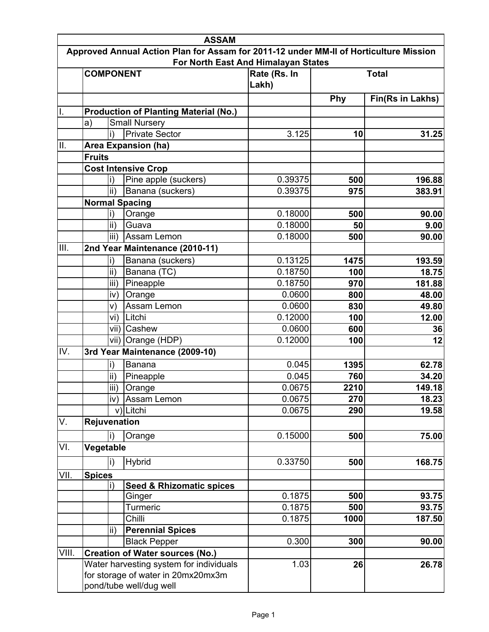|       | <b>ASSAM</b>                                                  |                                                                                       |                       |              |                  |  |
|-------|---------------------------------------------------------------|---------------------------------------------------------------------------------------|-----------------------|--------------|------------------|--|
|       |                                                               | Approved Annual Action Plan for Assam for 2011-12 under MM-II of Horticulture Mission |                       |              |                  |  |
|       |                                                               | For North East And Himalayan States                                                   |                       |              |                  |  |
|       | <b>COMPONENT</b>                                              |                                                                                       | Rate (Rs. In<br>Lakh) | <b>Total</b> |                  |  |
|       |                                                               |                                                                                       |                       | Phy          | Fin(Rs in Lakhs) |  |
|       |                                                               | <b>Production of Planting Material (No.)</b>                                          |                       |              |                  |  |
|       | $ a\rangle$                                                   | <b>Small Nursery</b>                                                                  |                       |              |                  |  |
|       | li)                                                           | <b>Private Sector</b>                                                                 | 3.125                 | 10           | 31.25            |  |
| Ш.    |                                                               | <b>Area Expansion (ha)</b>                                                            |                       |              |                  |  |
|       | <b>Fruits</b>                                                 |                                                                                       |                       |              |                  |  |
|       |                                                               | <b>Cost Intensive Crop</b>                                                            |                       |              |                  |  |
|       | li)                                                           | Pine apple (suckers)                                                                  | 0.39375               | 500          | 196.88           |  |
|       | lii)                                                          | Banana (suckers)                                                                      | 0.39375               | 975          | 383.91           |  |
|       | <b>Normal Spacing</b>                                         |                                                                                       |                       |              |                  |  |
|       | li)                                                           | Orange                                                                                | 0.18000               | 500          | 90.00            |  |
|       | ii)                                                           | Guava                                                                                 | 0.18000               | 50           | 9.00             |  |
|       | liii)                                                         | Assam Lemon                                                                           | 0.18000               | 500          | 90.00            |  |
| III.  |                                                               | 2nd Year Maintenance (2010-11)                                                        |                       |              |                  |  |
|       | li)                                                           | Banana (suckers)                                                                      | 0.13125               | 1475         | 193.59           |  |
|       | lii)                                                          | Banana (TC)                                                                           | 0.18750               | 100          | 18.75            |  |
|       | liii)                                                         | Pineapple                                                                             | 0.18750               | 970          | 181.88           |  |
|       | iv)                                                           | Orange                                                                                | 0.0600                | 800          | 48.00            |  |
|       | lv)                                                           | Assam Lemon                                                                           | 0.0600                | 830          | 49.80            |  |
|       | vi)                                                           | Litchi                                                                                | 0.12000               | 100          | 12.00            |  |
|       |                                                               | vii) Cashew                                                                           | 0.0600                | 600          | 36               |  |
|       |                                                               | vii) Orange (HDP)                                                                     | 0.12000               | 100          | 12               |  |
| IV.   |                                                               | 3rd Year Maintenance (2009-10)                                                        |                       |              |                  |  |
|       | li)                                                           | Banana                                                                                | 0.045                 | 1395         | 62.78            |  |
|       | lii)                                                          | Pineapple                                                                             | 0.045                 | 760          | 34.20            |  |
|       |                                                               | iii) Orange                                                                           | 0.0675                | 2210         | 149.18           |  |
|       |                                                               | iv) Assam Lemon                                                                       | 0.0675                | 270          | 18.23            |  |
|       |                                                               | v) Litchi                                                                             | 0.0675                | 290          | 19.58            |  |
| V.    | <b>Rejuvenation</b>                                           |                                                                                       |                       |              |                  |  |
|       |                                                               |                                                                                       | 0.15000               | 500          |                  |  |
| VI.   | li)<br>Vegetable                                              | Orange                                                                                |                       |              | 75.00            |  |
|       |                                                               |                                                                                       |                       |              |                  |  |
|       | li)                                                           | <b>Hybrid</b>                                                                         | 0.33750               | 500          | 168.75           |  |
| VII.  | <b>Spices</b>                                                 |                                                                                       |                       |              |                  |  |
|       | li)                                                           | <b>Seed &amp; Rhizomatic spices</b>                                                   | 0.1875                | 500          | 93.75            |  |
|       |                                                               | Ginger<br>Turmeric                                                                    | 0.1875                |              |                  |  |
|       |                                                               | Chilli                                                                                | 0.1875                | 500<br>1000  | 93.75            |  |
|       | lii`                                                          |                                                                                       |                       |              | 187.50           |  |
|       |                                                               | <b>Perennial Spices</b>                                                               |                       |              |                  |  |
|       |                                                               | <b>Black Pepper</b>                                                                   | 0.300                 | 300          | 90.00            |  |
| VIII. |                                                               | <b>Creation of Water sources (No.)</b>                                                |                       |              |                  |  |
|       |                                                               | Water harvesting system for individuals                                               | 1.03                  | 26           | 26.78            |  |
|       | for storage of water in 20mx20mx3m<br>pond/tube well/dug well |                                                                                       |                       |              |                  |  |
|       |                                                               |                                                                                       |                       |              |                  |  |